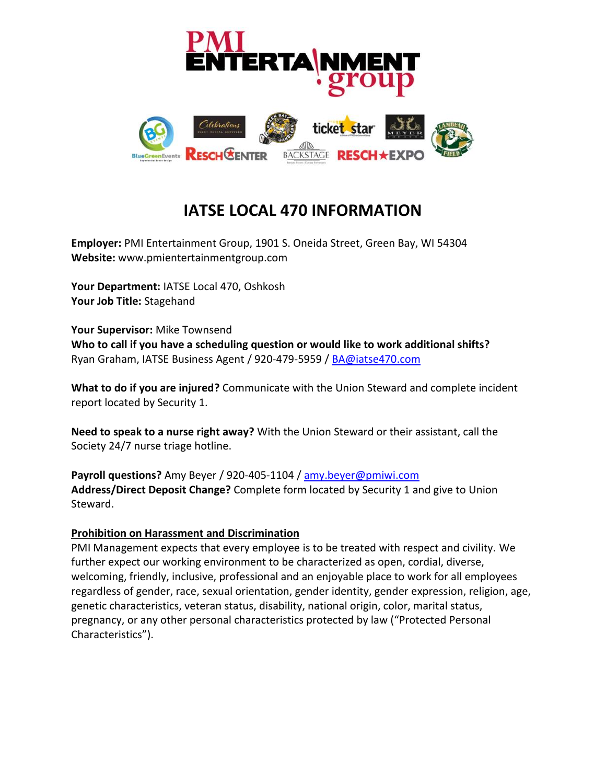

## **IATSE LOCAL 470 INFORMATION**

**Employer:** PMI Entertainment Group, 1901 S. Oneida Street, Green Bay, WI 54304 **Website:** www.pmientertainmentgroup.com

**Your Department:** IATSE Local 470, Oshkosh **Your Job Title:** Stagehand

**Your Supervisor:** Mike Townsend **Who to call if you have a scheduling question or would like to work additional shifts?**  Ryan Graham, IATSE Business Agent / 920-479-5959 / [BA@iatse470.com](mailto:BA@iatse470.com)

**What to do if you are injured?** Communicate with the Union Steward and complete incident report located by Security 1.

**Need to speak to a nurse right away?** With the Union Steward or their assistant, call the Society 24/7 nurse triage hotline.

**Payroll questions?** Amy Beyer / 920-405-1104 / [amy.beyer@pmiwi.com](mailto:amy.beyer@pmiwi.com) **Address/Direct Deposit Change?** Complete form located by Security 1 and give to Union Steward.

## **Prohibition on Harassment and Discrimination**

PMI Management expects that every employee is to be treated with respect and civility. We further expect our working environment to be characterized as open, cordial, diverse, welcoming, friendly, inclusive, professional and an enjoyable place to work for all employees regardless of gender, race, sexual orientation, gender identity, gender expression, religion, age, genetic characteristics, veteran status, disability, national origin, color, marital status, pregnancy, or any other personal characteristics protected by law ("Protected Personal Characteristics").